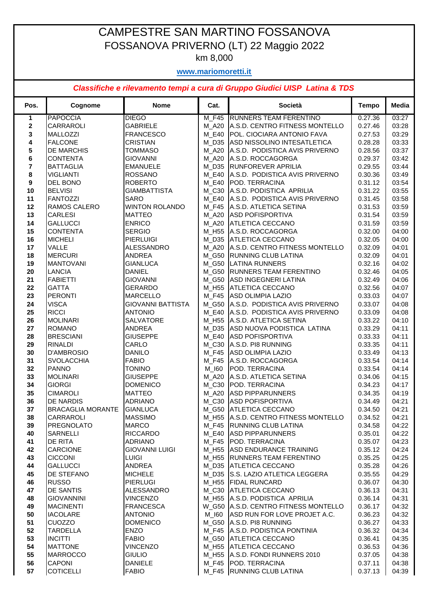## CAMPESTRE SAN MARTINO FOSSANOVA FOSSANOVA PRIVERNO (LT) 22 Maggio 2022

km 8,000

## **www.mariomoretti.it**

## *Classifiche e rilevamento tempi a cura di Gruppo Giudici UISP Latina & TDS*

| Pos. | Cognome                  | <b>Nome</b>              | Cat.    | Società                                | <b>Tempo</b> | Media |
|------|--------------------------|--------------------------|---------|----------------------------------------|--------------|-------|
| 1    | <b>PAPOCCIA</b>          | <b>DIEGO</b>             | M F45   | RUNNERS TEAM FERENTINO                 | 0.27.36      | 03:27 |
| 2    | CARRAROLI                | <b>GABRIELE</b>          | M A20   | A.S.D. CENTRO FITNESS MONTELLO         | 0.27.46      | 03:28 |
| 3    | <b>MALLOZZI</b>          | <b>FRANCESCO</b>         | M E40   | POL. CIOCIARA ANTONIO FAVA             | 0.27.53      | 03:29 |
| 4    | <b>FALCONE</b>           | CRISTIAN                 | M D35   | ASD NISSOLINO INTESATLETICA            | 0.28.28      | 03:33 |
| 5    | <b>DE MARCHIS</b>        | TOMMASO                  | M A20   | A.S.D. PODISTICA AVIS PRIVERNO         | 0.28.56      | 03:37 |
| 6    | <b>CONTENTA</b>          | <b>GIOVANNI</b>          | $M_A20$ | A.S.D. ROCCAGORGA                      | 0.29.37      | 03:42 |
| 7    | <b>BATTAGLIA</b>         | <b>EMANUELE</b>          |         | M_D35 RUNFOREVER APRILIA               | 0.29.55      | 03:44 |
| 8    | <b>VIGLIANTI</b>         | <b>ROSSANO</b>           |         | M_E40 A.S.D. PODISTICA AVIS PRIVERNO   | 0.30.36      | 03:49 |
| 9    | <b>DEL BONO</b>          | <b>ROBERTO</b>           | M E40   | POD. TERRACINA                         | 0.31.12      | 03:54 |
| 10   | <b>BELVISI</b>           | <b>GIAMBATTISTA</b>      | M_C30   | A.S.D. PODISTICA APRILIA               | 0.31.22      | 03:55 |
| 11   | FANTOZZI                 | SARO                     | M E40   | A.S.D. PODISTICA AVIS PRIVERNO         | 0.31.45      | 03:58 |
| 12   | <b>RAMOS CALERO</b>      | <b>WINTON ROLANDO</b>    | M F45   | A.S.D. ATLETICA SETINA                 | 0.31.53      | 03:59 |
| 13   | <b>CARLESI</b>           | <b>MATTEO</b>            | M A20   | <b>ASD POFISPORTIVA</b>                | 0.31.54      | 03:59 |
| 14   | <b>GALLUCCI</b>          | <b>ENRICO</b>            | M_A20   | ATLETICA CECCANO                       | 0.31.59      | 03:59 |
| 15   | <b>CONTENTA</b>          | <b>SERGIO</b>            |         | M_H55 A.S.D. ROCCAGORGA                | 0.32.00      | 04:00 |
| 16   | <b>MICHELI</b>           | <b>PIERLUIGI</b>         |         | M_D35 ATLETICA CECCANO                 | 0.32.05      | 04:00 |
| 17   | <b>VALLE</b>             | ALESSANDRO               |         | M A20 A.S.D. CENTRO FITNESS MONTELLO   | 0.32.09      | 04:01 |
| 18   | <b>MERCURI</b>           | ANDREA                   | M G50   | RUNNING CLUB LATINA                    | 0.32.09      | 04:01 |
| 19   | <b>MANTOVANI</b>         | <b>GIANLUCA</b>          | M_G50   | <b>LATINA RUNNERS</b>                  | 0.32.16      | 04:02 |
| 20   | <b>LANCIA</b>            | <b>DANIEL</b>            |         | M_G50 RUNNERS TEAM FERENTINO           | 0.32.46      | 04:05 |
| 21   | <b>FABIETTI</b>          | <b>GIOVANNI</b>          | M G50   | <b>ASD INGEGNERI LATINA</b>            | 0.32.49      | 04:06 |
| 22   | <b>GATTA</b>             | <b>GERARDO</b>           |         | M_H55 ATLETICA CECCANO                 | 0.32.56      | 04:07 |
| 23   | PERONTI                  | <b>MARCELLO</b>          | M_F45   | <b>ASD OLIMPIA LAZIO</b>               | 0.33.03      | 04:07 |
| 24   | <b>VISCA</b>             | <b>GIOVANNI BATTISTA</b> |         | M_G50 A.S.D. PODISTICA AVIS PRIVERNO   | 0.33.07      | 04:08 |
| 25   | <b>RICCI</b>             | <b>ANTONIO</b>           |         | M_E40 A.S.D. PODISTICA AVIS PRIVERNO   | 0.33.09      | 04:08 |
| 26   | <b>MOLINARI</b>          | SALVATORE                | M_H55   | A.S.D. ATLETICA SETINA                 | 0.33.22      | 04:10 |
| 27   | <b>ROMANO</b>            | ANDREA                   | M_D35   | ASD NUOVA PODISTICA LATINA             | 0.33.29      | 04:11 |
| 28   | <b>BRESCIANI</b>         | <b>GIUSEPPE</b>          | M E40   | <b>ASD POFISPORTIVA</b>                | 0.33.33      | 04:11 |
| 29   | <b>RINALDI</b>           | CARLO                    | M C30   | A.S.D. PI8 RUNNING                     | 0.33.35      | 04:11 |
| 30   | <b>D'AMBROSIO</b>        | <b>DANILO</b>            | M F45   | ASD OLIMPIA LAZIO                      | 0.33.49      | 04:13 |
| 31   | <b>SVOLACCHIA</b>        | <b>FABIO</b>             | M_F45   | A.S.D. ROCCAGORGA                      | 0.33.54      | 04:14 |
| 32   | <b>PANNO</b>             | <b>TONINO</b>            | M_I60   | POD. TERRACINA                         | 0.33.54      | 04:14 |
| 33   | <b>MOLINARI</b>          | <b>GIUSEPPE</b>          | M A20   | A.S.D. ATLETICA SETINA                 | 0.34.06      | 04:15 |
| 34   | <b>GIORGI</b>            | <b>DOMENICO</b>          | M C30   | POD. TERRACINA                         | 0.34.23      | 04:17 |
| 35   | <b>CIMAROLI</b>          | <b>MATTEO</b>            | M_A20   | <b>ASD PIPPARUNNERS</b>                | 0.34.35      | 04:19 |
| 36   | <b>DE NARDIS</b>         | <b>ADRIANO</b>           | M C30   | <b>ASD POFISPORTIVA</b>                | 0.34.49      | 04:21 |
| 37   | <b>BRACAGLIA MORANTE</b> | <b>GIANLUCA</b>          |         | M_G50 ATLETICA CECCANO                 | 0.34.50      | 04:21 |
| 38   | <b>CARRAROLI</b>         | <b>MASSIMO</b>           |         | M_H55 A.S.D. CENTRO FITNESS MONTELLO   | 0.34.52      | 04:21 |
| 39   | <b>PREGNOLATO</b>        | <b>MARCO</b>             |         | M_F45  RUNNING CLUB LATINA             | 0.34.58      | 04:22 |
| 40   | <b>SARNELLI</b>          | <b>RICCARDO</b>          |         | M_E40 ASD PIPPARUNNERS                 | 0.35.01      | 04:22 |
| 41   | <b>DE RITA</b>           | <b>ADRIANO</b>           |         | M_F45  POD. TERRACINA                  | 0.35.07      | 04:23 |
| 42   | <b>CARCIONE</b>          | <b>GIOVANNI LUIGI</b>    |         | M_H55 ASD ENDURANCE TRAINING           | 0.35.12      | 04:24 |
| 43   | <b>CICCONI</b>           | <b>LUIGI</b>             |         | M_H55 RUNNERS TEAM FERENTINO           | 0.35.25      | 04:25 |
| 44   | <b>GALLUCCI</b>          | ANDREA                   |         | M_D35 ATLETICA CECCANO                 | 0.35.28      | 04:26 |
| 45   | <b>DE STEFANO</b>        | <b>MICHELE</b>           |         | M_D35 S.S. LAZIO ATLETICA LEGGERA      | 0.35.55      | 04:29 |
| 46   | <b>RUSSO</b>             | <b>PIERLUGI</b>          |         | M_H55 FIDAL RUNCARD                    | 0.36.07      | 04:30 |
| 47   | <b>DE SANTIS</b>         | <b>ALESSANDRO</b>        |         | M_C30 ATLETICA CECCANO                 | 0.36.13      | 04:31 |
| 48   | <b>GIOVANNINI</b>        | <b>VINCENZO</b>          |         | M_H55 A.S.D. PODISTICA APRILIA         | 0.36.14      | 04:31 |
| 49   | <b>MACINENTI</b>         | <b>FRANCESCA</b>         |         | W_G50   A.S.D. CENTRO FITNESS MONTELLO | 0.36.17      | 04:32 |
| 50   | <b>IACOLARE</b>          | <b>ANTONIO</b>           |         | M_I60 ASD RUN FOR LOVE PROJET A.C.     | 0.36.23      | 04:32 |
| 51   | <b>CUOZZO</b>            | <b>DOMENICO</b>          |         | M_G50 A.S.D. PI8 RUNNING               | 0.36.27      | 04:33 |
| 52   | <b>TARDELLA</b>          | <b>ENZO</b>              |         | M_F45 A.S.D. PODISTICA PONTINIA        | 0.36.32      | 04:34 |
| 53   | <b>INCITTI</b>           | <b>FABIO</b>             |         | M_G50 ATLETICA CECCANO                 | 0.36.41      | 04:35 |
| 54   | <b>MATTONE</b>           | <b>VINCENZO</b>          |         | M_H55 ATLETICA CECCANO                 | 0.36.53      | 04:36 |
| 55   | <b>MARROCCO</b>          | <b>GIULIO</b>            |         | M_H55 A.S.D. FONDI RUNNERS 2010        | 0.37.05      | 04:38 |
| 56   | <b>CAPONI</b>            | <b>DANIELE</b>           |         | M_F45  POD. TERRACINA                  | 0.37.11      | 04:38 |
| 57   | <b>COTICELLI</b>         | <b>FABIO</b>             |         | M_F45 RUNNING CLUB LATINA              | 0.37.13      | 04:39 |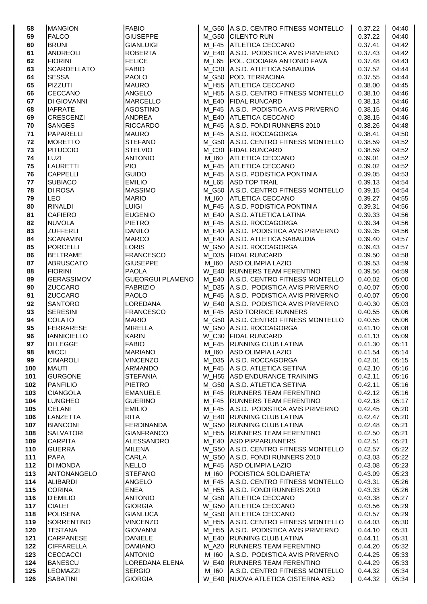| 58       | <b>MANGION</b>                   | <b>FABIO</b>                     |                   | M_G50 A.S.D. CENTRO FITNESS MONTELLO                              | 0.37.22            | 04:40          |
|----------|----------------------------------|----------------------------------|-------------------|-------------------------------------------------------------------|--------------------|----------------|
| 59       | <b>FALCO</b>                     | <b>GIUSEPPE</b>                  |                   | M_G50 CILENTO RUN                                                 | 0.37.22            | 04:40          |
| 60       | <b>BRUNI</b>                     | <b>GIANLUIGI</b>                 |                   | M F45 ATLETICA CECCANO                                            | 0.37.41            | 04:42          |
| 61       | <b>ANDREOLI</b>                  | <b>ROBERTA</b>                   |                   | W_E40 A.S.D. PODISTICA AVIS PRIVERNO                              | 0.37.43            | 04:42          |
| 62       | <b>FIORINI</b>                   | <b>FELICE</b>                    | M L65             | POL. CIOCIARA ANTONIO FAVA                                        | 0.37.48            | 04:43          |
| 63       | <b>SCARDELLATO</b>               | <b>FABIO</b>                     | M_C30             | A.S.D. ATLETICA SABAUDIA                                          | 0.37.52            | 04:44          |
| 64       | <b>SESSA</b>                     | <b>PAOLO</b>                     | M G50             | <b>POD. TERRACINA</b>                                             | 0.37.55            | 04:44          |
| 65       | PIZZUTI                          | <b>MAURO</b>                     | M H55             | <b>ATLETICA CECCANO</b>                                           | 0.38.00            | 04:45          |
| 66       | <b>CECCANO</b>                   | <b>ANGELO</b>                    | M H55             | A.S.D. CENTRO FITNESS MONTELLO                                    | 0.38.10            | 04:46          |
| 67       | <b>DI GIOVANNI</b>               | <b>MARCELLO</b>                  |                   | M_E40   FIDAL RUNCARD                                             | 0.38.13            | 04:46          |
| 68       | <b>IAFRATE</b>                   | <b>AGOSTINO</b>                  |                   | M_F45 A.S.D. PODISTICA AVIS PRIVERNO                              | 0.38.15            | 04:46          |
| 69       | <b>CRESCENZI</b>                 | <b>ANDREA</b>                    | M E40             | <b>ATLETICA CECCANO</b>                                           | 0.38.15            | 04:46          |
| 70       | <b>SANGES</b>                    | <b>RICCARDO</b>                  | M F45             | A.S.D. FONDI RUNNERS 2010                                         | 0.38.26            | 04:48          |
| 71       | PAPARELLI                        | <b>MAURO</b>                     | M F45             | A.S.D. ROCCAGORGA                                                 | 0.38.41            | 04:50          |
| 72       | <b>MORETTO</b>                   | <b>STEFANO</b>                   | M G50             | A.S.D. CENTRO FITNESS MONTELLO                                    | 0.38.59            | 04:52          |
| 73       | <b>PITUCCIO</b>                  | <b>STELVIO</b>                   | M_C30             | <b>FIDAL RUNCARD</b>                                              | 0.38.59            | 04:52          |
| 74       | <b>LUZI</b>                      | <b>ANTONIO</b>                   | M_I60             | <b>ATLETICA CECCANO</b>                                           | 0.39.01            | 04:52          |
| 75       | <b>LAURETTI</b>                  | <b>PIO</b>                       |                   | M_F45 ATLETICA CECCANO                                            | 0.39.02            | 04:52          |
| 76       | <b>CAPPELLI</b>                  | <b>GUIDO</b>                     |                   | M F45 A.S.D. PODISTICA PONTINIA                                   | 0.39.05            | 04:53          |
| 77       | <b>SUBIACO</b>                   | <b>EMILIO</b>                    | M L65             | <b>ASD TOP TRAIL</b>                                              | 0.39.13            | 04:54          |
| 78       | <b>DI ROSA</b>                   | <b>MASSIMO</b>                   |                   | M G50 A.S.D. CENTRO FITNESS MONTELLO                              | 0.39.15            | 04:54          |
| 79       | <b>LEO</b>                       | <b>MARIO</b>                     | M_I60             | <b>ATLETICA CECCANO</b>                                           | 0.39.27            | 04:55          |
| 80       | <b>RINALDI</b>                   | <b>LUIGI</b>                     | M F45             | A.S.D. PODISTICA PONTINIA                                         | 0.39.31            | 04:56          |
| 81       | <b>CAFIERO</b>                   | <b>EUGENIO</b>                   | M E40             | A.S.D. ATLETICA LATINA                                            | 0.39.33            | 04:56          |
| 82       | <b>NUVOLA</b>                    | <b>PIETRO</b>                    | M F45             | A.S.D. ROCCAGORGA                                                 | 0.39.34            | 04:56          |
| 83       | <b>ZUFFERLI</b>                  | <b>DANILO</b>                    |                   | M_E40 A.S.D. PODISTICA AVIS PRIVERNO                              | 0.39.35            | 04:56          |
| 84       | <b>SCANAVINI</b>                 | <b>MARCO</b>                     |                   | M_E40 A.S.D. ATLETICA SABAUDIA                                    | 0.39.40            | 04:57          |
| 85       | <b>PORCELLI</b>                  | <b>LORIS</b>                     |                   | W_G50 A.S.D. ROCCAGORGA                                           | 0.39.43            | 04:57          |
| 86       | <b>BELTRAME</b>                  | <b>FRANCESCO</b>                 |                   | M_D35 FIDAL RUNCARD                                               | 0.39.50            | 04:58          |
| 87       | <b>ABRUSCATO</b>                 | <b>GIUSEPPE</b>                  | M 160             | <b>ASD OLIMPIA LAZIO</b>                                          | 0.39.53            | 04:59          |
| 88       | <b>FIORINI</b>                   | <b>PAOLA</b>                     | <b>W_E40</b>      | <b>RUNNERS TEAM FERENTINO</b>                                     | 0.39.56            | 04:59          |
| 89       | <b>GERASSIMOV</b>                | <b>GUEORGUI PLAMENO</b>          | M E40             | A.S.D. CENTRO FITNESS MONTELLO                                    | 0.40.02            | 05:00          |
| 90       | <b>ZUCCARO</b>                   | <b>FABRIZIO</b>                  | M D35             | A.S.D. PODISTICA AVIS PRIVERNO                                    | 0.40.07            | 05:00          |
| 91       | <b>ZUCCARO</b>                   | <b>PAOLO</b>                     |                   | M_F45 A.S.D. PODISTICA AVIS PRIVERNO                              | 0.40.07            | 05:00          |
| 92       | <b>SANTORO</b>                   | LOREDANA                         |                   | W_E40 A.S.D. PODISTICA AVIS PRIVERNO<br>M F45 ASD TORRICE RUNNERS | 0.40.30            | 05:03          |
| 93       | <b>SERESINI</b><br><b>COLATO</b> | <b>FRANCESCO</b><br><b>MARIO</b> |                   |                                                                   | 0.40.55            | 05:06          |
| 94       | <b>FERRARESE</b>                 | <b>MIRELLA</b>                   |                   | M_G50 A.S.D. CENTRO FITNESS MONTELLO<br>W G50 A.S.D. ROCCAGORGA   | 0.40.55            | 05:06          |
| 95<br>96 | <b>IANNICIELLO</b>               | <b>KARIN</b>                     |                   | W_C30 FIDAL RUNCARD                                               | 0.41.10<br>0.41.13 | 05:08<br>05:09 |
| 97       | <b>DI LEGGE</b>                  | <b>FABIO</b>                     |                   | M_F45  RUNNING CLUB LATINA                                        | 0.41.30            | 05:11          |
| 98       | <b>MICCI</b>                     | <b>MARIANO</b>                   | M 160             | <b>ASD OLIMPIA LAZIO</b>                                          | 0.41.54            | 05:14          |
| 99       | <b>CIMAROLI</b>                  | <b>VINCENZO</b>                  | M_D35             | A.S.D. ROCCAGORGA                                                 | 0.42.01            | 05:15          |
| 100      | <b>MAUTI</b>                     | <b>ARMANDO</b>                   |                   | M_F45 A.S.D. ATLETICA SETINA                                      | 0.42.10            | 05:16          |
| 101      | <b>GURGONE</b>                   | <b>STEFANIA</b>                  |                   | W_H55 ASD ENDURANCE TRAINING                                      | 0.42.11            | 05:16          |
| 102      | <b>PANFILIO</b>                  | <b>PIETRO</b>                    | M G50             | A.S.D. ATLETICA SETINA                                            | 0.42.11            | 05:16          |
| 103      | <b>CIANGOLA</b>                  | <b>EMANUELE</b>                  | M F45             | <b>RUNNERS TEAM FERENTINO</b>                                     | 0.42.12            | 05:16          |
| 104      | <b>LUNGHEO</b>                   | <b>GUERINO</b>                   | M F45             | <b>RUNNERS TEAM FERENTINO</b>                                     | 0.42.18            | 05:17          |
| 105      | <b>CELANI</b>                    | <b>EMILIO</b>                    | M F45             | A.S.D. PODISTICA AVIS PRIVERNO                                    | 0.42.45            | 05:20          |
| 106      | <b>LANZETTA</b>                  | <b>RITA</b>                      | <b>W_E40</b>      | <b>RUNNING CLUB LATINA</b>                                        | 0.42.47            | 05:20          |
| 107      | <b>BIANCONI</b>                  | <b>FERDINANDA</b>                | <b>W_G50</b>      | <b>RUNNING CLUB LATINA</b>                                        | 0.42.48            | 05:21          |
| 108      | <b>SALVATORI</b>                 | <b>GIANFRANCO</b>                | M H <sub>55</sub> | <b>RUNNERS TEAM FERENTINO</b>                                     | 0.42.50            | 05:21          |
| 109      | <b>CARPITA</b>                   | <b>ALESSANDRO</b>                |                   | M_E40 ASD PIPPARUNNERS                                            | 0.42.51            | 05:21          |
| 110      | <b>GUERRA</b>                    | <b>MILENA</b>                    |                   | W_G50 A.S.D. CENTRO FITNESS MONTELLO                              | 0.42.57            | 05:22          |
| 111      | <b>PAPA</b>                      | CARLA                            |                   | W_G50 A.S.D. FONDI RUNNERS 2010                                   | 0.43.03            | 05:22          |
| 112      | DI MONDA                         | <b>NELLO</b>                     | M F45             | <b>ASD OLIMPIA LAZIO</b>                                          | 0.43.08            | 05:23          |
| 113      | <b>ANTONANGELO</b>               | <b>STEFANO</b>                   | M_I60             | PODISTICA SOLIDARIETA'                                            | 0.43.09            | 05:23          |
| 114      | <b>ALIBARDI</b>                  | <b>ANGELO</b>                    | M F45             | A.S.D. CENTRO FITNESS MONTELLO                                    | 0.43.31            | 05:26          |
| 115      | <b>CORINA</b>                    | <b>ENEA</b>                      | M H55             | A.S.D. FONDI RUNNERS 2010                                         | 0.43.33            | 05:26          |
| 116      | <b>D'EMILIO</b>                  | <b>ANTONIO</b>                   | M_G50             | <b>ATLETICA CECCANO</b>                                           | 0.43.38            | 05:27          |
| 117      | <b>CIALEI</b>                    | <b>GIORGIA</b>                   |                   | W_G50 ATLETICA CECCANO                                            | 0.43.56            | 05:29          |
| 118      | <b>POLISENA</b>                  | <b>GIANLUCA</b>                  |                   | M_G50 ATLETICA CECCANO                                            | 0.43.57            | 05:29          |
| 119      | <b>SORRENTINO</b>                | <b>VINCENZO</b>                  |                   | M_H55 A.S.D. CENTRO FITNESS MONTELLO                              | 0.44.03            | 05:30          |
| 120      | <b>TESTANA</b>                   | <b>GIOVANNI</b>                  | M H55             | A.S.D. PODISTICA AVIS PRIVERNO                                    | 0.44.10            | 05:31          |
| 121      | <b>CARPANESE</b>                 | <b>DANIELE</b>                   | M E40             | RUNNING CLUB LATINA                                               | 0.44.11            | 05:31          |
| 122      | <b>CIFFARELLA</b>                | <b>DAMIANO</b>                   | M A20             | <b>RUNNERS TEAM FERENTINO</b>                                     | 0.44.20            | 05:32          |
| 123      | <b>CECCACCI</b>                  | <b>ANTONIO</b>                   | M_I60             | A.S.D. PODISTICA AVIS PRIVERNO                                    | 0.44.25            | 05:33          |
| 124      | <b>BANESCU</b>                   | LOREDANA ELENA                   | W_E40             | <b>RUNNERS TEAM FERENTINO</b>                                     | 0.44.29            | 05:33          |
| 125      | <b>LEOMAZZI</b>                  | <b>SERGIO</b>                    | M 160             | A.S.D. CENTRO FITNESS MONTELLO                                    | 0.44.32            | 05:34          |
| 126      | <b>SABATINI</b>                  | <b>GIORGIA</b>                   |                   | W_E40 NUOVA ATLETICA CISTERNA ASD                                 | 0.44.32            | 05:34          |